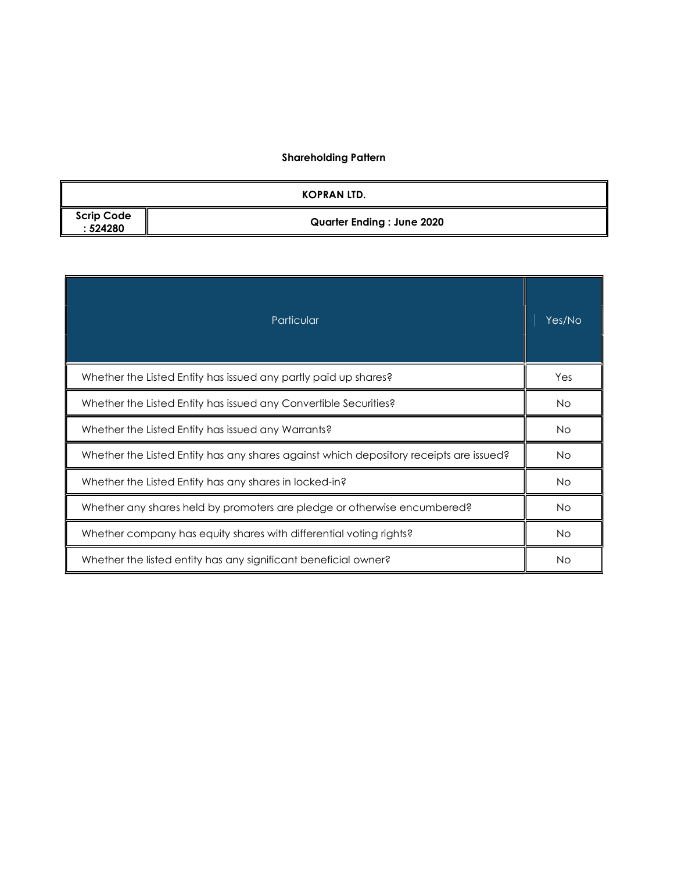# Shareholding Pattern

| <b>KOPRAN LTD.</b>           |                                  |  |  |  |
|------------------------------|----------------------------------|--|--|--|
| <b>Scrip Code</b><br>:524280 | <b>Quarter Ending: June 2020</b> |  |  |  |

| Particular                                                                             | Yes/No |  |  |  |  |
|----------------------------------------------------------------------------------------|--------|--|--|--|--|
| Whether the Listed Entity has issued any partly paid up shares?                        | Yes    |  |  |  |  |
| Whether the Listed Entity has issued any Convertible Securities?                       | No.    |  |  |  |  |
| Whether the Listed Entity has issued any Warrants?                                     |        |  |  |  |  |
| Whether the Listed Entity has any shares against which depository receipts are issued? |        |  |  |  |  |
| Whether the Listed Entity has any shares in locked-in?                                 |        |  |  |  |  |
| Whether any shares held by promoters are pledge or otherwise encumbered?               |        |  |  |  |  |
| Whether company has equity shares with differential voting rights?                     | No.    |  |  |  |  |
| Whether the listed entity has any significant beneficial owner?                        | Νo     |  |  |  |  |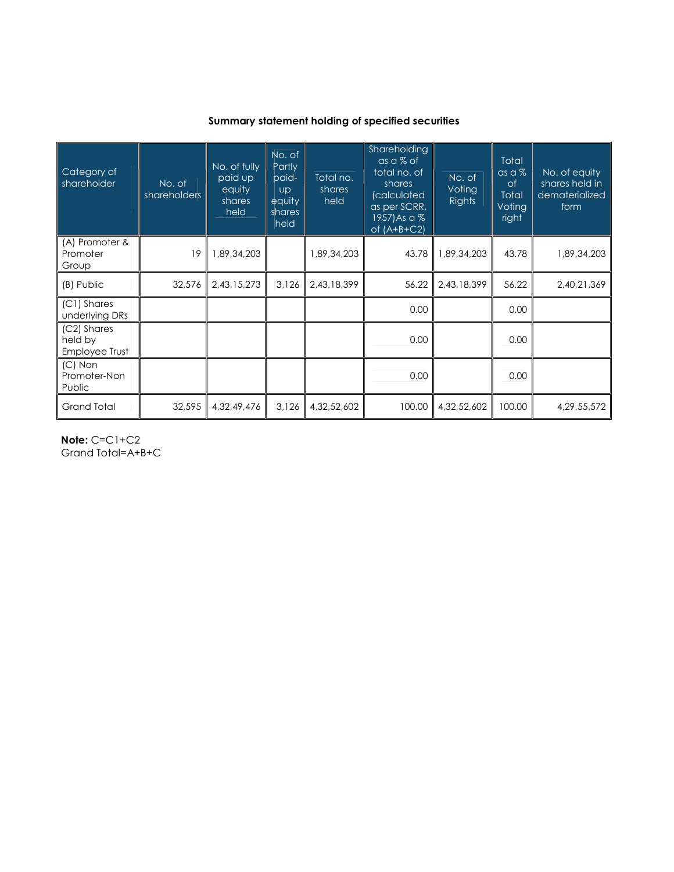# Summary statement holding of specified securities

| Category of<br>shareholder               | No. of<br>shareholders | No. of fully<br>paid up<br>equity<br>shares<br>held | No. of<br>Partly<br>paid-<br><b>UD</b><br>equity<br>shares<br>held | Total no.<br>shares<br>held | Shareholding<br>$as \alpha \%$ of<br>total no. of<br>shares<br>(calculated<br>as per SCRR,<br>1957) As a %<br>of $(A+B+C2)$ | No. of<br>Voting<br><b>Rights</b> | Total<br>$as \alpha \mathcal{Z}$<br><b>of</b><br>Total<br>Voting<br> right | No. of equity<br>shares held in<br>dematerialized<br>form |
|------------------------------------------|------------------------|-----------------------------------------------------|--------------------------------------------------------------------|-----------------------------|-----------------------------------------------------------------------------------------------------------------------------|-----------------------------------|----------------------------------------------------------------------------|-----------------------------------------------------------|
| (A) Promoter &<br>Promoter<br>Group      | 19                     | 1,89,34,203                                         |                                                                    | 1,89,34,203                 | 43.78                                                                                                                       | 1,89,34,203                       | 43.78                                                                      | 1,89,34,203                                               |
| (B) Public                               | 32,576                 | 2,43,15,273                                         | 3,126                                                              | 2,43,18,399                 | 56.22                                                                                                                       | 2,43,18,399                       | 56.22                                                                      | 2,40,21,369                                               |
| (C1) Shares<br>underlying DRs            |                        |                                                     |                                                                    |                             | 0.00                                                                                                                        |                                   | 0.00                                                                       |                                                           |
| (C2) Shares<br>held by<br>Employee Trust |                        |                                                     |                                                                    |                             | 0.00                                                                                                                        |                                   | 0.00                                                                       |                                                           |
| (C) Non<br>Promoter-Non<br>Public        |                        |                                                     |                                                                    |                             | 0.00                                                                                                                        |                                   | 0.00                                                                       |                                                           |
| <b>Grand Total</b>                       | 32,595                 | 4,32,49,476                                         | 3,126                                                              | 4,32,52,602                 | 100.00                                                                                                                      | 4,32,52,602                       | 100.00                                                                     | 4,29,55,572                                               |

Note: C=C1+C2 Grand Total=A+B+C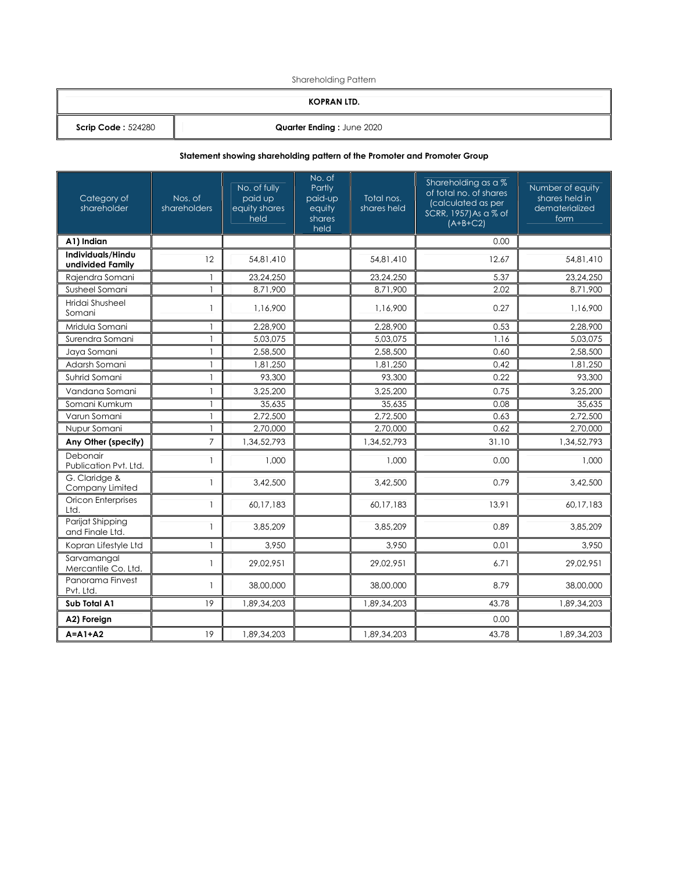Shareholding Pattern

#### KOPRAN LTD.

Scrip Code : 524280 **Quarter Ending :** June 2020

## Statement showing shareholding pattern of the Promoter and Promoter Group

| Category of<br>shareholder                 | Nos. of<br>shareholders  | No. of fully<br>paid up<br>equity shares<br>held | No. of<br>Partly<br>paid-up<br>equity<br>shares<br>held | Total nos.<br>shares held | Shareholding as a %<br>of total no. of shares<br>(calculated as per<br>SCRR, 1957) As a % of<br>$(A+B+C2)$ | Number of equity<br>shares held in<br>dematerialized<br>form |
|--------------------------------------------|--------------------------|--------------------------------------------------|---------------------------------------------------------|---------------------------|------------------------------------------------------------------------------------------------------------|--------------------------------------------------------------|
| A1) Indian                                 |                          |                                                  |                                                         |                           | 0.00                                                                                                       |                                                              |
| Individuals/Hindu<br>undivided Family      | 12                       | 54,81,410                                        |                                                         | 54,81,410                 | 12.67                                                                                                      | 54,81,410                                                    |
| Rajendra Somani                            |                          | 23,24,250                                        |                                                         | 23,24,250                 | 5.37                                                                                                       | 23,24,250                                                    |
| Susheel Somani                             |                          | 8,71,900                                         |                                                         | 8,71,900                  | 2.02                                                                                                       | 8,71,900                                                     |
| Hridai Shusheel<br>Somani                  | $\mathbf{1}$             | 1,16,900                                         |                                                         | 1,16,900                  | 0.27                                                                                                       | 1,16,900                                                     |
| Mridula Somani                             | $\mathbf{1}$             | 2,28,900                                         |                                                         | 2,28,900                  | 0.53                                                                                                       | 2,28,900                                                     |
| Surendra Somani                            | $\mathbf{1}$             | 5.03.075                                         |                                                         | 5.03.075                  | 1.16                                                                                                       | 5,03,075                                                     |
| Jaya Somani                                | $\mathbf{1}$             | 2,58,500                                         |                                                         | 2,58,500                  | 0.60                                                                                                       | 2,58,500                                                     |
| Adarsh Somani                              | $\overline{\phantom{a}}$ | 1.81.250                                         |                                                         | 1,81,250                  | 0.42                                                                                                       | 1,81,250                                                     |
| Suhrid Somani                              | $\mathbf{1}$             | 93,300                                           |                                                         | 93,300                    | 0.22                                                                                                       | 93,300                                                       |
| Vandana Somani                             | $\mathbf{1}$             | 3,25,200                                         |                                                         | 3,25,200                  | 0.75                                                                                                       | 3,25,200                                                     |
| Somani Kumkum                              | $\mathbf{1}$             | 35,635                                           |                                                         | 35,635                    | 0.08                                                                                                       | 35,635                                                       |
| Varun Somani                               | $\mathbf{1}$             | 2,72,500                                         |                                                         | 2,72,500                  | 0.63                                                                                                       | 2,72,500                                                     |
| Nupur Somani                               |                          | 2,70,000                                         |                                                         | 2,70,000                  | 0.62                                                                                                       | 2,70,000                                                     |
| Any Other (specify)                        | $\overline{7}$           | 1,34,52,793                                      |                                                         | 1,34,52,793               | 31.10                                                                                                      | 1,34,52,793                                                  |
| Debonair<br>Publication Pvt. Ltd.          | $\mathbf{1}$             | 1,000                                            |                                                         | 1,000                     | 0.00                                                                                                       | 1,000                                                        |
| G. Claridge &<br>Company Limited           | $\mathbf{1}$             | 3,42,500                                         |                                                         | 3,42,500                  | 0.79                                                                                                       | 3,42,500                                                     |
| Oricon Enterprises<br>Ltd.                 | $\mathbf{1}$             | 60,17,183                                        |                                                         | 60,17,183                 | 13.91                                                                                                      | 60,17,183                                                    |
| <b>Parijat Shipping</b><br>and Finale Ltd. | 1                        | 3,85,209                                         |                                                         | 3,85,209                  | 0.89                                                                                                       | 3,85,209                                                     |
| Kopran Lifestyle Ltd                       | $\overline{\phantom{a}}$ | 3.950                                            |                                                         | 3.950                     | 0.01                                                                                                       | 3.950                                                        |
| Sarvamangal<br>Mercantile Co. Ltd.         | $\mathbf{1}$             | 29,02,951                                        |                                                         | 29.02.951                 | 6.71                                                                                                       | 29,02,951                                                    |
| Panorama Finvest<br>Pvt. Ltd.              | $\mathbf{1}$             | 38,00,000                                        |                                                         | 38,00,000                 | 8.79                                                                                                       | 38,00,000                                                    |
| Sub Total A1                               | 19                       | 1,89,34,203                                      |                                                         | 1,89,34,203               | 43.78                                                                                                      | 1,89,34,203                                                  |
| A2) Foreign                                |                          |                                                  |                                                         |                           | 0.00                                                                                                       |                                                              |
| $A = A1 + A2$                              | 19                       | 1.89.34.203                                      |                                                         | 1,89,34,203               | 43.78                                                                                                      | 1,89,34,203                                                  |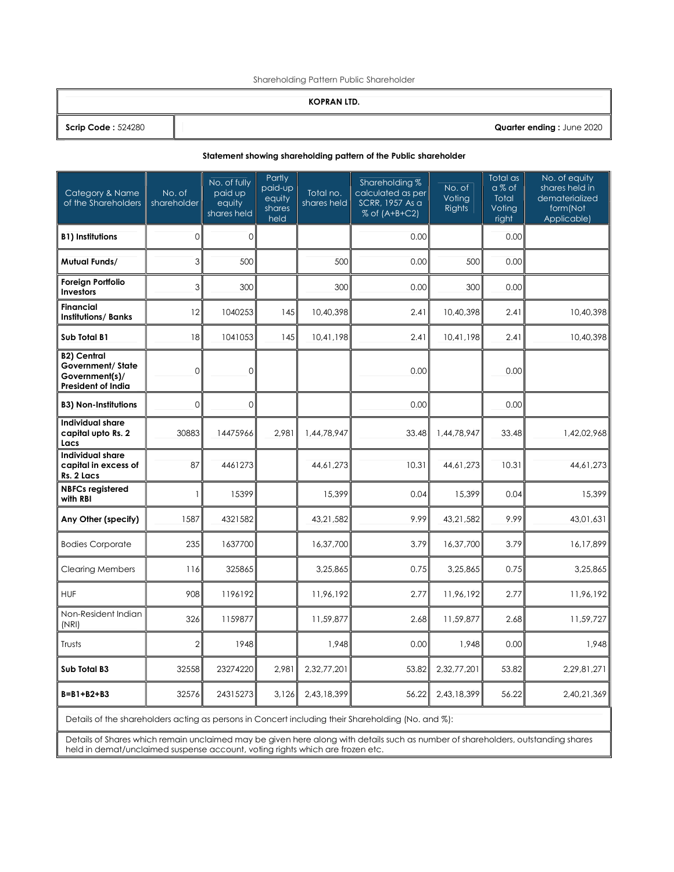Shareholding Pattern Public Shareholder

#### KOPRAN LTD.

Scrip Code : 524280 **Quarter ending :** June 2020

### Statement showing shareholding pattern of the Public shareholder

| Category & Name<br>of the Shareholders                                                | No. of<br>shareholder | No. of fully<br>paid up<br>equity<br>shares held | Partly<br>paid-up<br>equity<br>shares<br>held | Total no.<br>shares held | Shareholding %<br>calculated as per<br>SCRR, 1957 As a<br>% of (A+B+C2) | No. of<br>Voting<br>Rights | Total as<br>$a\%$ of<br><b>Total</b><br>Voting<br>right | No. of equity<br>shares held in<br>dematerialized<br>form(Not<br>Applicable) |
|---------------------------------------------------------------------------------------|-----------------------|--------------------------------------------------|-----------------------------------------------|--------------------------|-------------------------------------------------------------------------|----------------------------|---------------------------------------------------------|------------------------------------------------------------------------------|
| <b>B1) Institutions</b>                                                               | $\mathbf 0$           | 0                                                |                                               |                          | 0.00                                                                    |                            | 0.00                                                    |                                                                              |
| Mutual Funds/                                                                         | 3                     | 500                                              |                                               | 500                      | 0.00                                                                    | 500                        | 0.00                                                    |                                                                              |
| Foreign Portfolio<br><b>Investors</b>                                                 | 3                     | 300                                              |                                               | 300                      | 0.00                                                                    | 300                        | 0.00                                                    |                                                                              |
| <b>Financial</b><br><b>Institutions/Banks</b>                                         | 12                    | 1040253                                          | 145                                           | 10,40,398                | 2.41                                                                    | 10,40,398                  | 2.41                                                    | 10,40,398                                                                    |
| Sub Total B1                                                                          | 18                    | 1041053                                          | 145                                           | 10,41,198                | 2.41                                                                    | 10,41,198                  | 2.41                                                    | 10,40,398                                                                    |
| <b>B2) Central</b><br><b>Government/State</b><br>Government(s)/<br>President of India | $\mathbf 0$           | 0                                                |                                               |                          | 0.00                                                                    |                            | 0.00                                                    |                                                                              |
| <b>B3) Non-Institutions</b>                                                           | $\mathbf 0$           | $\overline{0}$                                   |                                               |                          | 0.00                                                                    |                            | 0.00                                                    |                                                                              |
| <b>Individual share</b><br>capital upto Rs. 2<br>Lacs                                 | 30883                 | 14475966                                         | 2,981                                         | 1,44,78,947              | 33.48                                                                   | 1,44,78,947                | 33.48                                                   | 1,42,02,968                                                                  |
| <b>Individual share</b><br>capital in excess of<br>Rs. 2 Lacs                         | 87                    | 4461273                                          |                                               | 44,61,273                | 10.31                                                                   | 44,61,273                  | 10.31                                                   | 44,61,273                                                                    |
| <b>NBFCs registered</b><br>with RBI                                                   | 1                     | 15399                                            |                                               | 15,399                   | 0.04                                                                    | 15,399                     | 0.04                                                    | 15,399                                                                       |
| Any Other (specify)                                                                   | 1587                  | 4321582                                          |                                               | 43,21,582                | 9.99                                                                    | 43,21,582                  | 9.99                                                    | 43,01,631                                                                    |
| <b>Bodies Corporate</b>                                                               | 235                   | 1637700                                          |                                               | 16,37,700                | 3.79                                                                    | 16,37,700                  | 3.79                                                    | 16,17,899                                                                    |
| <b>Clearing Members</b>                                                               | 116                   | 325865                                           |                                               | 3,25,865                 | 0.75                                                                    | 3,25,865                   | 0.75                                                    | 3,25,865                                                                     |
| <b>HUF</b>                                                                            | 908                   | 1196192                                          |                                               | 11,96,192                | 2.77                                                                    | 11,96,192                  | 2.77                                                    | 11,96,192                                                                    |
| Non-Resident Indian<br>(NRI)                                                          | 326                   | 1159877                                          |                                               | 11,59,877                | 2.68                                                                    | 11,59,877                  | 2.68                                                    | 11,59,727                                                                    |
| Trusts                                                                                | $\overline{2}$        | 1948                                             |                                               | 1,948                    | 0.00                                                                    | 1,948                      | 0.00                                                    | 1,948                                                                        |
| Sub Total B3                                                                          | 32558                 | 23274220                                         | 2,981                                         | 2,32,77,201              | 53.82                                                                   | 2,32,77,201                | 53.82                                                   | 2,29,81,271                                                                  |
| $B = B1 + B2 + B3$                                                                    | 32576                 | 24315273                                         | 3,126                                         | 2,43,18,399              | 56.22                                                                   | 2,43,18,399                | 56.22                                                   | 2,40,21,369                                                                  |

Details of the shareholders acting as persons in Concert including their Shareholding (No. and %):

Details of Shares which remain unclaimed may be given here along with details such as number of shareholders, outstanding shares held in demat/unclaimed suspense account, voting rights which are frozen etc.